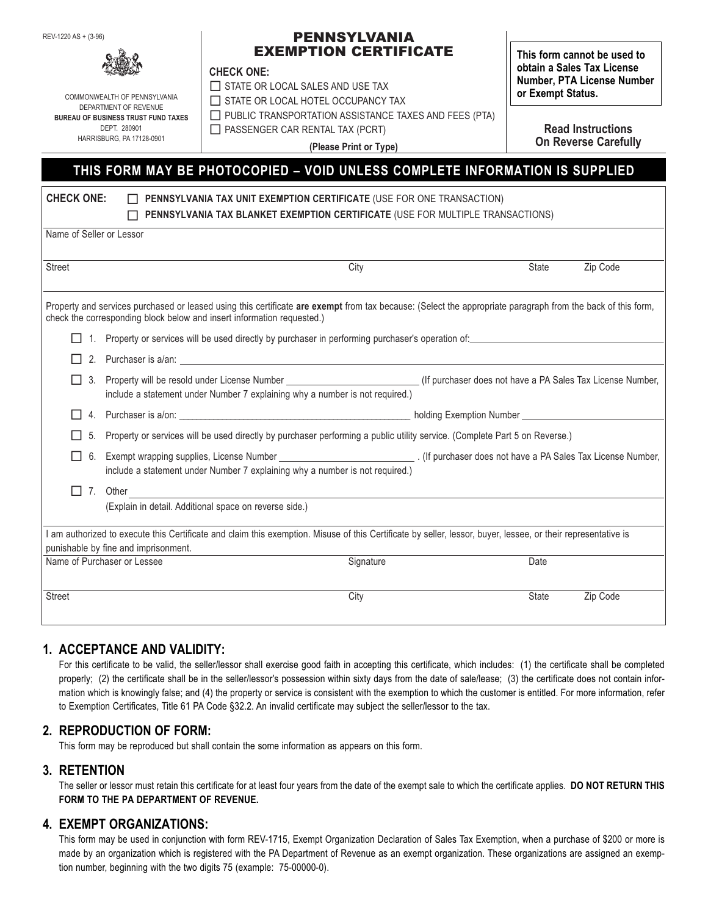REV-1220 AS + (3-96)

#### PENNSYLVANIA EXEMPTION CERTIFICATE

#### **CHECK ONE:**

COMMONWEALTH OF PENNSYLVANIA DEPARTMENT OF REVENUE **BUREAU OF BUSINESS TRUST FUND TAXES** DEPT. 280901 HARRISBURG, PA 17128-0901

 $\Box$  STATE OR LOCAL SALES AND USE TAX STATE OR LOCAL HOTEL OCCUPANCY TAX

**CHECK ONE: PENNSYLVANIA TAX UNIT EXEMPTION CERTIFICATE** (USE FOR ONE TRANSACTION)

 $\Box$  PUBLIC TRANSPORTATION ASSISTANCE TAXES AND FEES (PTA)

 $\Box$  PASSENGER CAR RENTAL TAX (PCRT)

**(Please Print or Type)**

**This form cannot be used to obtain a Sales Tax License Number, PTA License Number or Exempt Status.**

> **Read Instructions On Reverse Carefully**

# **THIS FORM MAY BE PHOTOCOPIED – VOID UNLESS COMPLETE INFORMATION IS SUPPLIED**

| UNEUN UNE.<br><u>II PENNOTLVANIA TAA UNIT EAEMPTIUN GERTIFIGATE (USE FUR UNE TRANSAGTIUN)</u><br>PENNSYLVANIA TAX BLANKET EXEMPTION CERTIFICATE (USE FOR MULTIPLE TRANSACTIONS) |                                                                                                                                                                                                                           |                                                                                                                                                                                                                                |              |          |
|---------------------------------------------------------------------------------------------------------------------------------------------------------------------------------|---------------------------------------------------------------------------------------------------------------------------------------------------------------------------------------------------------------------------|--------------------------------------------------------------------------------------------------------------------------------------------------------------------------------------------------------------------------------|--------------|----------|
| Name of Seller or Lessor                                                                                                                                                        |                                                                                                                                                                                                                           |                                                                                                                                                                                                                                |              |          |
| <b>Street</b>                                                                                                                                                                   |                                                                                                                                                                                                                           | City                                                                                                                                                                                                                           | <b>State</b> | Zip Code |
|                                                                                                                                                                                 | check the corresponding block below and insert information requested.)                                                                                                                                                    | Property and services purchased or leased using this certificate are exempt from tax because: (Select the appropriate paragraph from the back of this form,                                                                    |              |          |
|                                                                                                                                                                                 |                                                                                                                                                                                                                           | 1. Property or services will be used directly by purchaser in performing purchaser's operation of:                                                                                                                             |              |          |
|                                                                                                                                                                                 |                                                                                                                                                                                                                           | 2. Purchaser is a/an: 1999 and 2009 and 2009 and 2009 and 2009 and 2009 and 2009 and 2009 and 2009 and 2009 and 2009 and 2009 and 2009 and 2009 and 2009 and 2009 and 2009 and 2009 and 2009 and 2009 and 2009 and 2009 and 20 |              |          |
|                                                                                                                                                                                 | 3. Property will be resold under License Number _______________________________(If purchaser does not have a PA Sales Tax License Number,<br>include a statement under Number 7 explaining why a number is not required.) |                                                                                                                                                                                                                                |              |          |
|                                                                                                                                                                                 |                                                                                                                                                                                                                           |                                                                                                                                                                                                                                |              |          |
| 5.                                                                                                                                                                              | Property or services will be used directly by purchaser performing a public utility service. (Complete Part 5 on Reverse.)                                                                                                |                                                                                                                                                                                                                                |              |          |
| 6.                                                                                                                                                                              | include a statement under Number 7 explaining why a number is not required.)                                                                                                                                              |                                                                                                                                                                                                                                |              |          |
| $\Box$                                                                                                                                                                          | 7. Other                                                                                                                                                                                                                  |                                                                                                                                                                                                                                |              |          |
|                                                                                                                                                                                 | (Explain in detail. Additional space on reverse side.)                                                                                                                                                                    |                                                                                                                                                                                                                                |              |          |
|                                                                                                                                                                                 | punishable by fine and imprisonment.                                                                                                                                                                                      | I am authorized to execute this Certificate and claim this exemption. Misuse of this Certificate by seller, lessor, buyer, lessee, or their representative is                                                                  |              |          |
| Name of Purchaser or Lessee                                                                                                                                                     |                                                                                                                                                                                                                           | Signature                                                                                                                                                                                                                      | Date         |          |
| <b>Street</b>                                                                                                                                                                   |                                                                                                                                                                                                                           | City                                                                                                                                                                                                                           | State        | Zip Code |
|                                                                                                                                                                                 |                                                                                                                                                                                                                           |                                                                                                                                                                                                                                |              |          |

## **1. ACCEPTANCE AND VALIDITY:**

For this certificate to be valid, the seller/lessor shall exercise good faith in accepting this certificate, which includes: (1) the certificate shall be completed properly; (2) the certificate shall be in the seller/lessor's possession within sixty days from the date of sale/lease; (3) the certificate does not contain information which is knowingly false; and (4) the property or service is consistent with the exemption to which the customer is entitled. For more information, refer to Exemption Certificates, Title 61 PA Code §32.2. An invalid certificate may subject the seller/lessor to the tax.

### **2. REPRODUCTION OF FORM:**

This form may be reproduced but shall contain the some information as appears on this form.

### **3. RETENTION**

The seller or lessor must retain this certificate for at least four years from the date of the exempt sale to which the certificate applies. **DO NOT RETURN THIS FORM TO THE PA DEPARTMENT OF REVENUE.**

### **4. EXEMPT ORGANIZATIONS:**

This form may be used in conjunction with form REV-1715, Exempt Organization Declaration of Sales Tax Exemption, when a purchase of \$200 or more is made by an organization which is registered with the PA Department of Revenue as an exempt organization. These organizations are assigned an exemption number, beginning with the two digits 75 (example: 75-00000-0).